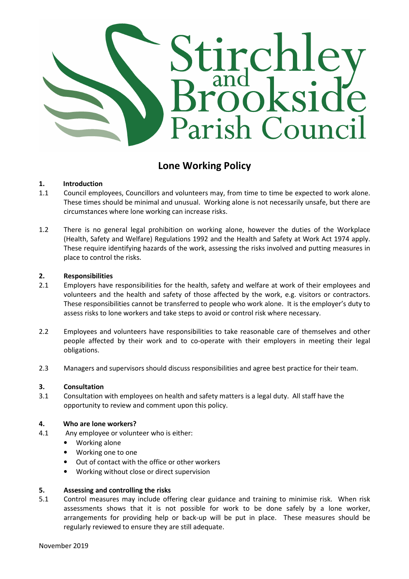

# Lone Working Policy

# 1. Introduction

- 1.1 Council employees, Councillors and volunteers may, from time to time be expected to work alone. These times should be minimal and unusual. Working alone is not necessarily unsafe, but there are circumstances where lone working can increase risks.
- 1.2 There is no general legal prohibition on working alone, however the duties of the Workplace (Health, Safety and Welfare) Regulations 1992 and the Health and Safety at Work Act 1974 apply. These require identifying hazards of the work, assessing the risks involved and putting measures in place to control the risks.

## 2. Responsibilities

- 2.1 Employers have responsibilities for the health, safety and welfare at work of their employees and volunteers and the health and safety of those affected by the work, e.g. visitors or contractors. These responsibilities cannot be transferred to people who work alone. It is the employer's duty to assess risks to lone workers and take steps to avoid or control risk where necessary.
- 2.2 Employees and volunteers have responsibilities to take reasonable care of themselves and other people affected by their work and to co-operate with their employers in meeting their legal obligations.
- 2.3 Managers and supervisors should discuss responsibilities and agree best practice for their team.

## 3. Consultation

3.1 Consultation with employees on health and safety matters is a legal duty. All staff have the opportunity to review and comment upon this policy.

#### 4. Who are lone workers?

- 4.1 Any employee or volunteer who is either:
	- Working alone
	- Working one to one
	- Out of contact with the office or other workers
	- Working without close or direct supervision

#### 5. Assessing and controlling the risks

5.1 Control measures may include offering clear guidance and training to minimise risk. When risk assessments shows that it is not possible for work to be done safely by a lone worker, arrangements for providing help or back-up will be put in place. These measures should be regularly reviewed to ensure they are still adequate.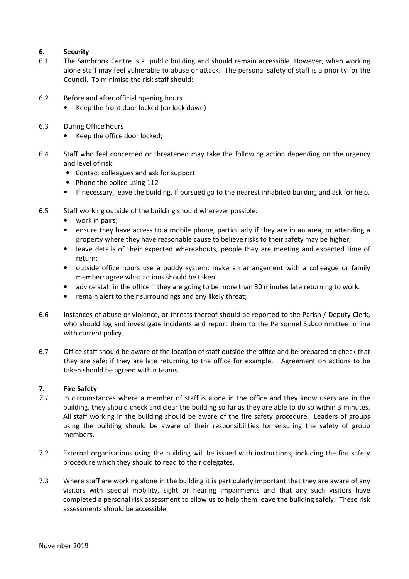# 6. Security

- 6.1 The Sambrook Centre is a public building and should remain accessible. However, when working alone staff may feel vulnerable to abuse or attack. The personal safety of staff is a priority for the Council. To minimise the risk staff should:
- 6.2 Before and after official opening hours
	- Keep the front door locked (on lock down)
- 6.3 During Office hours
	- Keep the office door locked;
- 6.4 Staff who feel concerned or threatened may take the following action depending on the urgency and level of risk:
	- Contact colleagues and ask for support
	- Phone the police using 112
	- If necessary, leave the building. If pursued go to the nearest inhabited building and ask for help.
- 6.5 Staff working outside of the building should wherever possible:
	- work in pairs;
	- ensure they have access to a mobile phone, particularly if they are in an area, or attending a property where they have reasonable cause to believe risks to their safety may be higher;
	- leave details of their expected whereabouts, people they are meeting and expected time of return;
	- outside office hours use a buddy system: make an arrangement with a colleague or family member: agree what actions should be taken
	- advice staff in the office if they are going to be more than 30 minutes late returning to work.
	- remain alert to their surroundings and any likely threat;
- 6.6 Instances of abuse or violence, or threats thereof should be reported to the Parish / Deputy Clerk, who should log and investigate incidents and report them to the Personnel Subcommittee in line with current policy.
- 6.7 Office staff should be aware of the location of staff outside the office and be prepared to check that they are safe; if they are late returning to the office for example. Agreement on actions to be taken should be agreed within teams.

# 7. Fire Safety

- 7.1 In circumstances where a member of staff is alone in the office and they know users are in the building, they should check and clear the building so far as they are able to do so within 3 minutes. All staff working in the building should be aware of the fire safety procedure. Leaders of groups using the building should be aware of their responsibilities for ensuring the safety of group members.
- 7.2 External organisations using the building will be issued with instructions, including the fire safety procedure which they should to read to their delegates.
- 7.3 Where staff are working alone in the building it is particularly important that they are aware of any visitors with special mobility, sight or hearing impairments and that any such visitors have completed a personal risk assessment to allow us to help them leave the building safely. These risk assessments should be accessible.